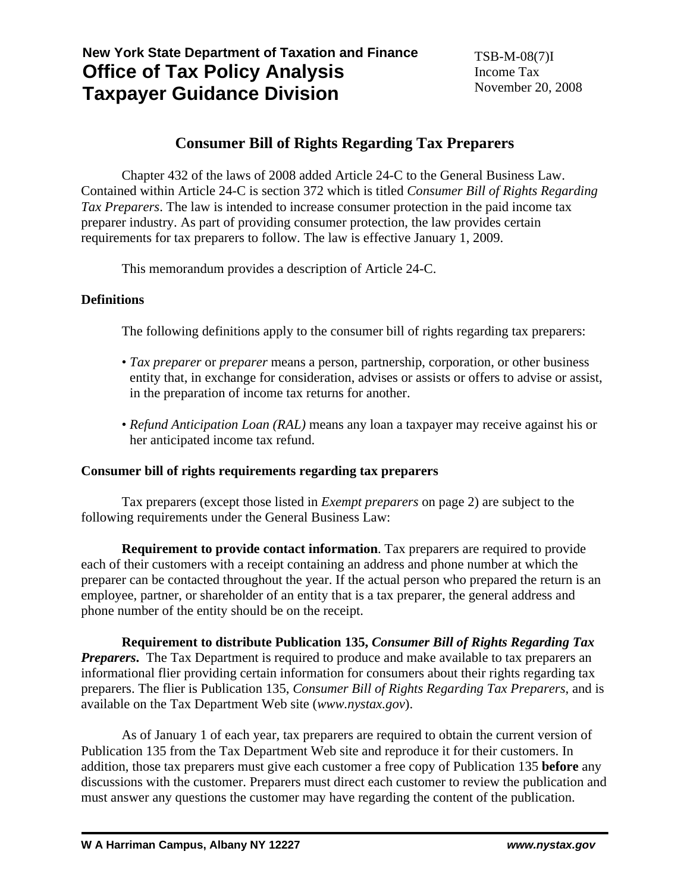# **New York State Department of Taxation and Finance Office of Tax Policy Analysis Taxpayer Guidance Division**

# **Consumer Bill of Rights Regarding Tax Preparers**

 Chapter 432 of the laws of 2008 added Article 24-C to the General Business Law. Contained within Article 24-C is section 372 which is titled *Consumer Bill of Rights Regarding Tax Preparers*. The law is intended to increase consumer protection in the paid income tax preparer industry. As part of providing consumer protection, the law provides certain requirements for tax preparers to follow. The law is effective January 1, 2009.

This memorandum provides a description of Article 24-C.

# **Definitions**

The following definitions apply to the consumer bill of rights regarding tax preparers:

- *Tax preparer* or *preparer* means a person, partnership, corporation, or other business entity that, in exchange for consideration, advises or assists or offers to advise or assist, in the preparation of income tax returns for another.
- *Refund Anticipation Loan (RAL)* means any loan a taxpayer may receive against his or her anticipated income tax refund.

# **Consumer bill of rights requirements regarding tax preparers**

 Tax preparers (except those listed in *Exempt preparers* on page 2) are subject to the following requirements under the General Business Law:

**Requirement to provide contact information**. Tax preparers are required to provide each of their customers with a receipt containing an address and phone number at which the preparer can be contacted throughout the year. If the actual person who prepared the return is an employee, partner, or shareholder of an entity that is a tax preparer, the general address and phone number of the entity should be on the receipt.

 **Requirement to distribute Publication 135,** *Consumer Bill of Rights Regarding Tax Preparers*. The Tax Department is required to produce and make available to tax preparers an informational flier providing certain information for consumers about their rights regarding tax preparers. The flier is Publication 135, *Consumer Bill of Rights Regarding Tax Preparers*, and is available on the Tax Department Web site (*www.nystax.gov*).

 As of January 1 of each year, tax preparers are required to obtain the current version of Publication 135 from the Tax Department Web site and reproduce it for their customers. In addition, those tax preparers must give each customer a free copy of Publication 135 **before** any discussions with the customer. Preparers must direct each customer to review the publication and must answer any questions the customer may have regarding the content of the publication.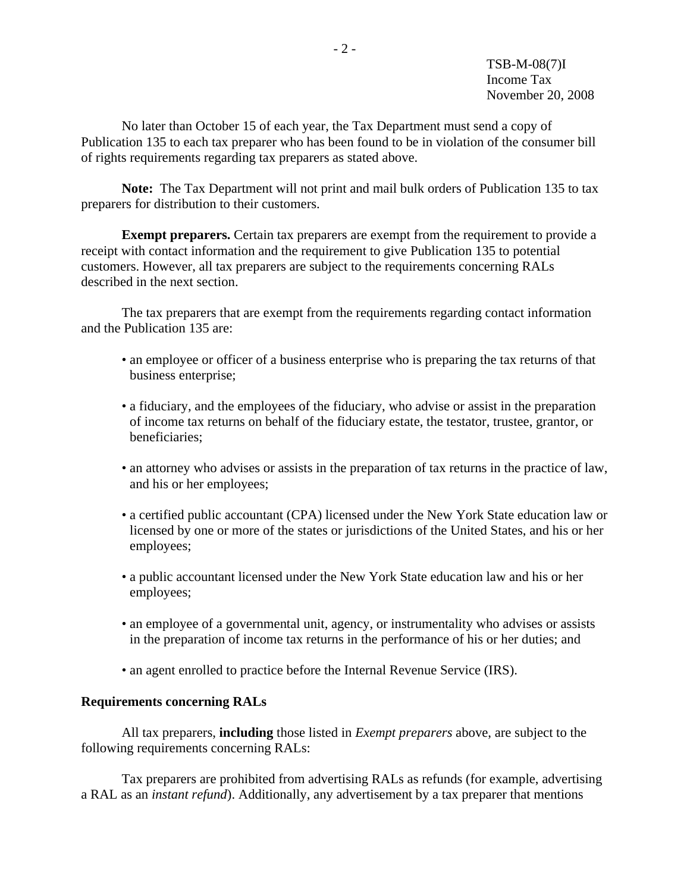No later than October 15 of each year, the Tax Department must send a copy of Publication 135 to each tax preparer who has been found to be in violation of the consumer bill of rights requirements regarding tax preparers as stated above.

**Note:** The Tax Department will not print and mail bulk orders of Publication 135 to tax preparers for distribution to their customers.

**Exempt preparers.** Certain tax preparers are exempt from the requirement to provide a receipt with contact information and the requirement to give Publication 135 to potential customers. However, all tax preparers are subject to the requirements concerning RALs described in the next section.

 The tax preparers that are exempt from the requirements regarding contact information and the Publication 135 are:

- an employee or officer of a business enterprise who is preparing the tax returns of that business enterprise;
- a fiduciary, and the employees of the fiduciary, who advise or assist in the preparation of income tax returns on behalf of the fiduciary estate, the testator, trustee, grantor, or beneficiaries;
- an attorney who advises or assists in the preparation of tax returns in the practice of law, and his or her employees;
- a certified public accountant (CPA) licensed under the New York State education law or licensed by one or more of the states or jurisdictions of the United States, and his or her employees;
- a public accountant licensed under the New York State education law and his or her employees;
- an employee of a governmental unit, agency, or instrumentality who advises or assists in the preparation of income tax returns in the performance of his or her duties; and
- an agent enrolled to practice before the Internal Revenue Service (IRS).

# **Requirements concerning RALs**

 All tax preparers, **including** those listed in *Exempt preparers* above, are subject to the following requirements concerning RALs:

 Tax preparers are prohibited from advertising RALs as refunds (for example, advertising a RAL as an *instant refund*). Additionally, any advertisement by a tax preparer that mentions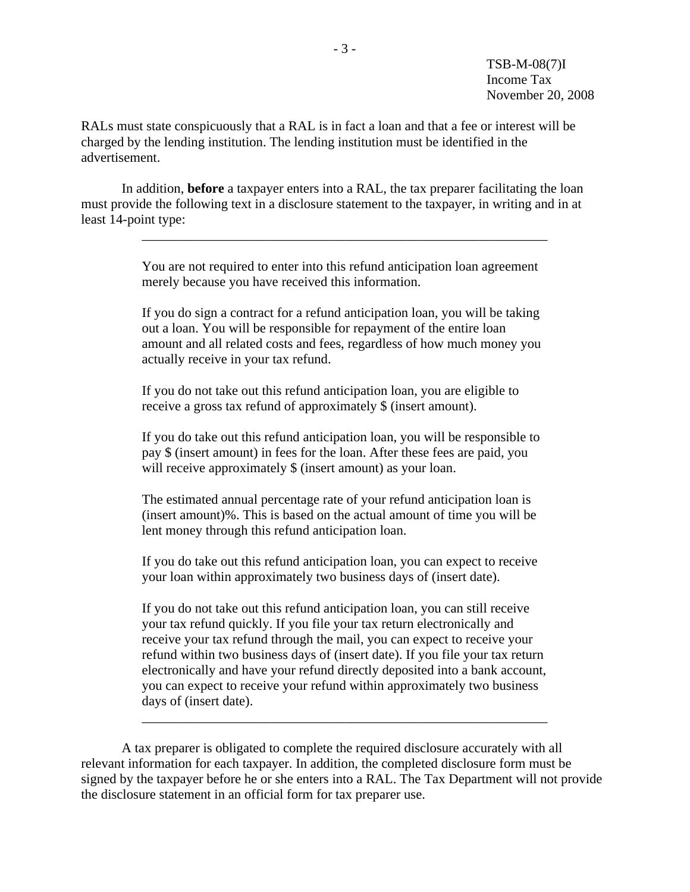TSB-M-08(7)I Income Tax November 20, 2008

RALs must state conspicuously that a RAL is in fact a loan and that a fee or interest will be charged by the lending institution. The lending institution must be identified in the advertisement.

 In addition, **before** a taxpayer enters into a RAL, the tax preparer facilitating the loan must provide the following text in a disclosure statement to the taxpayer, in writing and in at least 14-point type:

 $\overline{\phantom{a}}$  ,  $\overline{\phantom{a}}$  ,  $\overline{\phantom{a}}$  ,  $\overline{\phantom{a}}$  ,  $\overline{\phantom{a}}$  ,  $\overline{\phantom{a}}$  ,  $\overline{\phantom{a}}$  ,  $\overline{\phantom{a}}$  ,  $\overline{\phantom{a}}$  ,  $\overline{\phantom{a}}$  ,  $\overline{\phantom{a}}$  ,  $\overline{\phantom{a}}$  ,  $\overline{\phantom{a}}$  ,  $\overline{\phantom{a}}$  ,  $\overline{\phantom{a}}$  ,  $\overline{\phantom{a}}$ 

You are not required to enter into this refund anticipation loan agreement merely because you have received this information.

If you do sign a contract for a refund anticipation loan, you will be taking out a loan. You will be responsible for repayment of the entire loan amount and all related costs and fees, regardless of how much money you actually receive in your tax refund.

If you do not take out this refund anticipation loan, you are eligible to receive a gross tax refund of approximately \$ (insert amount).

If you do take out this refund anticipation loan, you will be responsible to pay \$ (insert amount) in fees for the loan. After these fees are paid, you will receive approximately \$ (insert amount) as your loan.

The estimated annual percentage rate of your refund anticipation loan is (insert amount)%. This is based on the actual amount of time you will be lent money through this refund anticipation loan.

If you do take out this refund anticipation loan, you can expect to receive your loan within approximately two business days of (insert date).

If you do not take out this refund anticipation loan, you can still receive your tax refund quickly. If you file your tax return electronically and receive your tax refund through the mail, you can expect to receive your refund within two business days of (insert date). If you file your tax return electronically and have your refund directly deposited into a bank account, you can expect to receive your refund within approximately two business days of (insert date).

 A tax preparer is obligated to complete the required disclosure accurately with all relevant information for each taxpayer. In addition, the completed disclosure form must be signed by the taxpayer before he or she enters into a RAL. The Tax Department will not provide the disclosure statement in an official form for tax preparer use.

 $\overline{\phantom{a}}$  ,  $\overline{\phantom{a}}$  ,  $\overline{\phantom{a}}$  ,  $\overline{\phantom{a}}$  ,  $\overline{\phantom{a}}$  ,  $\overline{\phantom{a}}$  ,  $\overline{\phantom{a}}$  ,  $\overline{\phantom{a}}$  ,  $\overline{\phantom{a}}$  ,  $\overline{\phantom{a}}$  ,  $\overline{\phantom{a}}$  ,  $\overline{\phantom{a}}$  ,  $\overline{\phantom{a}}$  ,  $\overline{\phantom{a}}$  ,  $\overline{\phantom{a}}$  ,  $\overline{\phantom{a}}$